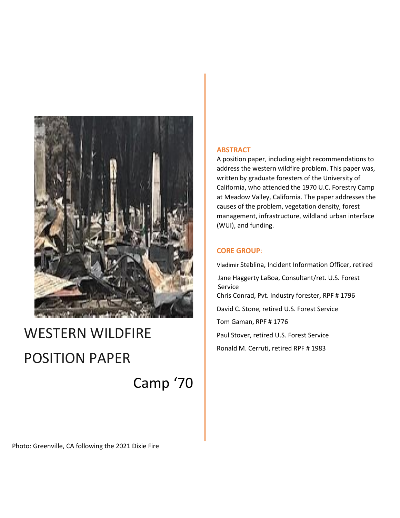

# WESTERN WILDFIRE POSITION PAPER

Camp '70

#### **ABSTRACT**

A position paper, including eight recommendations to address the western wildfire problem. This paper was, written by graduate foresters of the University of California, who attended the 1970 U.C. Forestry Camp at Meadow Valley, California. The paper addresses the causes of the problem, vegetation density, forest management, infrastructure, wildland urban interface (WUI), and funding.

#### **CORE GROUP**:

Vladimir Steblina, Incident Information Officer, retired Jane Haggerty LaBoa, Consultant/ret. U.S. Forest Service Chris Conrad, Pvt. Industry forester, RPF # 1796 David C. Stone, retired U.S. Forest Service Tom Gaman, RPF # 1776 Paul Stover, retired U.S. Forest Service Ronald M. Cerruti, retired RPF # 1983

Photo: Greenville, CA following the 2021 Dixie Fire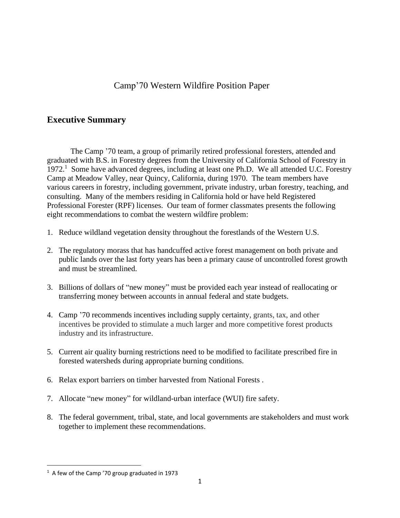# Camp'70 Western Wildfire Position Paper

## **Executive Summary**

The Camp '70 team, a group of primarily retired professional foresters, attended and graduated with B.S. in Forestry degrees from the University of California School of Forestry in 1972.<sup>1</sup> Some have advanced degrees, including at least one Ph.D. We all attended U.C. Forestry Camp at Meadow Valley, near Quincy, California, during 1970. The team members have various careers in forestry, including government, private industry, urban forestry, teaching, and consulting. Many of the members residing in California hold or have held Registered Professional Forester (RPF) licenses. Our team of former classmates presents the following eight recommendations to combat the western wildfire problem:

- 1. Reduce wildland vegetation density throughout the forestlands of the Western U.S.
- 2. The regulatory morass that has handcuffed active forest management on both private and public lands over the last forty years has been a primary cause of uncontrolled forest growth and must be streamlined.
- 3. Billions of dollars of "new money" must be provided each year instead of reallocating or transferring money between accounts in annual federal and state budgets.
- 4. Camp '70 recommends incentives including supply certainty, grants, tax, and other incentives be provided to stimulate a much larger and more competitive forest products industry and its infrastructure.
- 5. Current air quality burning restrictions need to be modified to facilitate prescribed fire in forested watersheds during appropriate burning conditions.
- 6. Relax export barriers on timber harvested from National Forests .
- 7. Allocate "new money" for wildland-urban interface (WUI) fire safety.
- 8. The federal government, tribal, state, and local governments are stakeholders and must work together to implement these recommendations.

 $1$  A few of the Camp '70 group graduated in 1973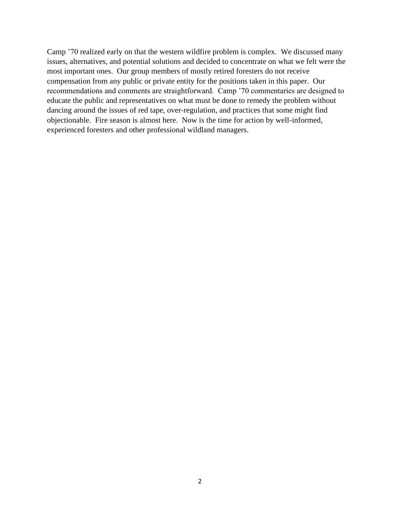Camp '70 realized early on that the western wildfire problem is complex. We discussed many issues, alternatives, and potential solutions and decided to concentrate on what we felt were the most important ones. Our group members of mostly retired foresters do not receive compensation from any public or private entity for the positions taken in this paper. Our recommendations and comments are straightforward. Camp '70 commentaries are designed to educate the public and representatives on what must be done to remedy the problem without dancing around the issues of red tape, over-regulation, and practices that some might find objectionable. Fire season is almost here. Now is the time for action by well-informed, experienced foresters and other professional wildland managers.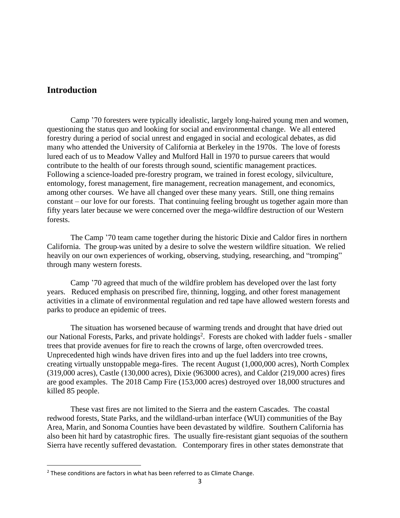## **Introduction**

Camp '70 foresters were typically idealistic, largely long-haired young men and women, questioning the status quo and looking for social and environmental change. We all entered forestry during a period of social unrest and engaged in social and ecological debates, as did many who attended the University of California at Berkeley in the 1970s. The love of forests lured each of us to Meadow Valley and Mulford Hall in 1970 to pursue careers that would contribute to the health of our forests through sound, scientific management practices. Following a science-loaded pre-forestry program, we trained in forest ecology, silviculture, entomology, forest management, fire management, recreation management, and economics, among other courses. We have all changed over these many years. Still, one thing remains constant – our love for our forests. That continuing feeling brought us together again more than fifty years later because we were concerned over the mega-wildfire destruction of our Western forests.

The Camp '70 team came together during the historic Dixie and Caldor fires in northern California. The group was united by a desire to solve the western wildfire situation. We relied heavily on our own experiences of working, observing, studying, researching, and "tromping" through many western forests.

Camp '70 agreed that much of the wildfire problem has developed over the last forty years. Reduced emphasis on prescribed fire, thinning, logging, and other forest management activities in a climate of environmental regulation and red tape have allowed western forests and parks to produce an epidemic of trees.

The situation has worsened because of warming trends and drought that have dried out our National Forests, Parks, and private holdings<sup>2</sup>. Forests are choked with ladder fuels - smaller trees that provide avenues for fire to reach the crowns of large, often overcrowded trees. Unprecedented high winds have driven fires into and up the fuel ladders into tree crowns, creating virtually unstoppable mega-fires. The recent August (1,000,000 acres), North Complex (319,000 acres), Castle (130,000 acres), Dixie (963000 acres), and Caldor (219,000 acres) fires are good examples. The 2018 Camp Fire (153,000 acres) destroyed over 18,000 structures and killed 85 people.

These vast fires are not limited to the Sierra and the eastern Cascades. The coastal redwood forests, State Parks, and the wildland-urban interface (WUI) communities of the Bay Area, Marin, and Sonoma Counties have been devastated by wildfire. Southern California has also been hit hard by catastrophic fires. The usually fire-resistant giant sequoias of the southern Sierra have recently suffered devastation. Contemporary fires in other states demonstrate that

 $2$  These conditions are factors in what has been referred to as Climate Change.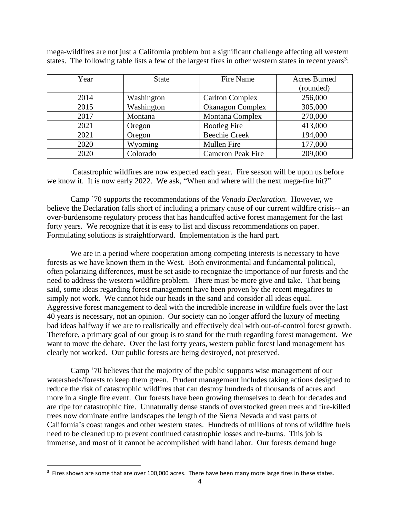mega-wildfires are not just a California problem but a significant challenge affecting all western states. The following table lists a few of the largest fires in other western states in recent years<sup>3</sup>:

| Year | <b>State</b> | Fire Name                | <b>Acres Burned</b> |
|------|--------------|--------------------------|---------------------|
|      |              |                          | (rounded)           |
| 2014 | Washington   | <b>Carlton Complex</b>   | 256,000             |
| 2015 | Washington   | <b>Okanagon Complex</b>  | 305,000             |
| 2017 | Montana      | Montana Complex          | 270,000             |
| 2021 | Oregon       | <b>Bootleg Fire</b>      | 413,000             |
| 2021 | Oregon       | <b>Beechie Creek</b>     | 194,000             |
| 2020 | Wyoming      | Mullen Fire              | 177,000             |
| 2020 | Colorado     | <b>Cameron Peak Fire</b> | 209,000             |

Catastrophic wildfires are now expected each year. Fire season will be upon us before we know it. It is now early 2022. We ask, "When and where will the next mega-fire hit?"

Camp '70 supports the recommendations of the *Venado Declaration.* However*,* we believe the Declaration falls short of including a primary cause of our current wildfire crisis-- an over-burdensome regulatory process that has handcuffed active forest management for the last forty years. We recognize that it is easy to list and discuss recommendations on paper. Formulating solutions is straightforward. Implementation is the hard part.

We are in a period where cooperation among competing interests is necessary to have forests as we have known them in the West. Both environmental and fundamental political, often polarizing differences, must be set aside to recognize the importance of our forests and the need to address the western wildfire problem. There must be more give and take. That being said, some ideas regarding forest management have been proven by the recent megafires to simply not work. We cannot hide our heads in the sand and consider all ideas equal. Aggressive forest management to deal with the incredible increase in wildfire fuels over the last 40 years is necessary, not an opinion. Our society can no longer afford the luxury of meeting bad ideas halfway if we are to realistically and effectively deal with out-of-control forest growth. Therefore, a primary goal of our group is to stand for the truth regarding forest management. We want to move the debate. Over the last forty years, western public forest land management has clearly not worked. Our public forests are being destroyed, not preserved.

Camp '70 believes that the majority of the public supports wise management of our watersheds/forests to keep them green. Prudent management includes taking actions designed to reduce the risk of catastrophic wildfires that can destroy hundreds of thousands of acres and more in a single fire event. Our forests have been growing themselves to death for decades and are ripe for catastrophic fire. Unnaturally dense stands of overstocked green trees and fire-killed trees now dominate entire landscapes the length of the Sierra Nevada and vast parts of California's coast ranges and other western states. Hundreds of millions of tons of wildfire fuels need to be cleaned up to prevent continued catastrophic losses and re-burns. This job is immense, and most of it cannot be accomplished with hand labor. Our forests demand huge

 $3$  Fires shown are some that are over 100,000 acres. There have been many more large fires in these states.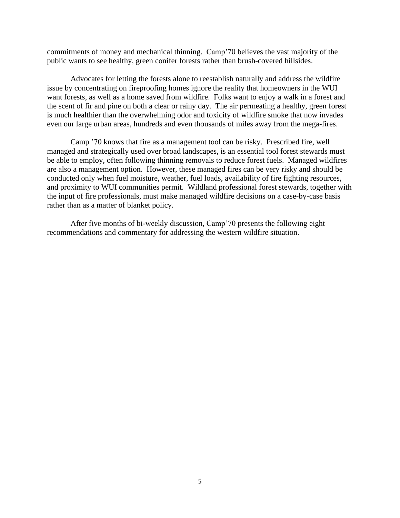commitments of money and mechanical thinning. Camp'70 believes the vast majority of the public wants to see healthy, green conifer forests rather than brush-covered hillsides.

Advocates for letting the forests alone to reestablish naturally and address the wildfire issue by concentrating on fireproofing homes ignore the reality that homeowners in the WUI want forests, as well as a home saved from wildfire. Folks want to enjoy a walk in a forest and the scent of fir and pine on both a clear or rainy day. The air permeating a healthy, green forest is much healthier than the overwhelming odor and toxicity of wildfire smoke that now invades even our large urban areas, hundreds and even thousands of miles away from the mega-fires.

Camp '70 knows that fire as a management tool can be risky. Prescribed fire, well managed and strategically used over broad landscapes, is an essential tool forest stewards must be able to employ, often following thinning removals to reduce forest fuels. Managed wildfires are also a management option. However, these managed fires can be very risky and should be conducted only when fuel moisture, weather, fuel loads, availability of fire fighting resources, and proximity to WUI communities permit. Wildland professional forest stewards, together with the input of fire professionals, must make managed wildfire decisions on a case-by-case basis rather than as a matter of blanket policy.

After five months of bi-weekly discussion, Camp'70 presents the following eight recommendations and commentary for addressing the western wildfire situation.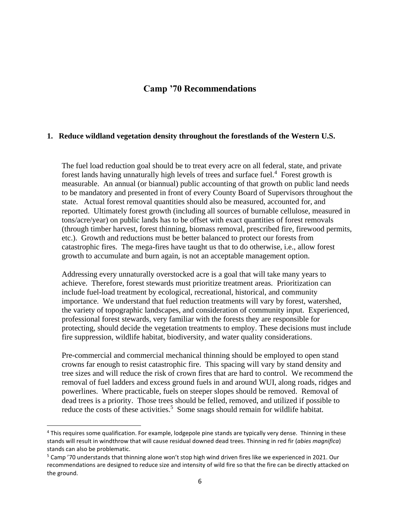## **Camp '70 Recommendations**

#### **1. Reduce wildland vegetation density throughout the forestlands of the Western U.S.**

The fuel load reduction goal should be to treat every acre on all federal, state, and private forest lands having unnaturally high levels of trees and surface fuel. <sup>4</sup> Forest growth is measurable. An annual (or biannual) public accounting of that growth on public land needs to be mandatory and presented in front of every County Board of Supervisors throughout the state. Actual forest removal quantities should also be measured, accounted for, and reported. Ultimately forest growth (including all sources of burnable cellulose, measured in tons/acre/year) on public lands has to be offset with exact quantities of forest removals (through timber harvest, forest thinning, biomass removal, prescribed fire, firewood permits, etc.). Growth and reductions must be better balanced to protect our forests from catastrophic fires. The mega-fires have taught us that to do otherwise, i.e., allow forest growth to accumulate and burn again, is not an acceptable management option.

Addressing every unnaturally overstocked acre is a goal that will take many years to achieve. Therefore, forest stewards must prioritize treatment areas. Prioritization can include fuel-load treatment by ecological, recreational, historical, and community importance. We understand that fuel reduction treatments will vary by forest, watershed, the variety of topographic landscapes, and consideration of community input. Experienced, professional forest stewards, very familiar with the forests they are responsible for protecting, should decide the vegetation treatments to employ. These decisions must include fire suppression, wildlife habitat, biodiversity, and water quality considerations.

Pre-commercial and commercial mechanical thinning should be employed to open stand crowns far enough to resist catastrophic fire. This spacing will vary by stand density and tree sizes and will reduce the risk of crown fires that are hard to control. We recommend the removal of fuel ladders and excess ground fuels in and around WUI, along roads, ridges and powerlines. Where practicable, fuels on steeper slopes should be removed. Removal of dead trees is a priority. Those trees should be felled, removed, and utilized if possible to reduce the costs of these activities.<sup>5</sup> Some snags should remain for wildlife habitat.

<sup>4</sup> This requires some qualification. For example, lodgepole pine stands are typically very dense. Thinning in these stands will result in windthrow that will cause residual downed dead trees. Thinning in red fir (*abies magnifica*) stands can also be problematic.

<sup>&</sup>lt;sup>5</sup> Camp '70 understands that thinning alone won't stop high wind driven fires like we experienced in 2021. Our recommendations are designed to reduce size and intensity of wild fire so that the fire can be directly attacked on the ground.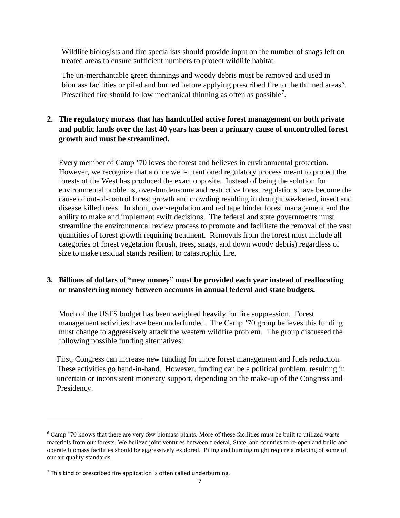Wildlife biologists and fire specialists should provide input on the number of snags left on treated areas to ensure sufficient numbers to protect wildlife habitat.

The un-merchantable green thinnings and woody debris must be removed and used in biomass facilities or piled and burned before applying prescribed fire to the thinned areas<sup>6</sup>. Prescribed fire should follow mechanical thinning as often as possible<sup>7</sup>.

## **2. The regulatory morass that has handcuffed active forest management on both private and public lands over the last 40 years has been a primary cause of uncontrolled forest growth and must be streamlined.**

Every member of Camp '70 loves the forest and believes in environmental protection. However, we recognize that a once well-intentioned regulatory process meant to protect the forests of the West has produced the exact opposite. Instead of being the solution for environmental problems, over-burdensome and restrictive forest regulations have become the cause of out-of-control forest growth and crowding resulting in drought weakened, insect and disease killed trees. In short, over-regulation and red tape hinder forest management and the ability to make and implement swift decisions. The federal and state governments must streamline the environmental review process to promote and facilitate the removal of the vast quantities of forest growth requiring treatment. Removals from the forest must include all categories of forest vegetation (brush, trees, snags, and down woody debris) regardless of size to make residual stands resilient to catastrophic fire.

## **3. Billions of dollars of "new money" must be provided each year instead of reallocating or transferring money between accounts in annual federal and state budgets.**

Much of the USFS budget has been weighted heavily for fire suppression. Forest management activities have been underfunded. The Camp '70 group believes this funding must change to aggressively attack the western wildfire problem. The group discussed the following possible funding alternatives:

First, Congress can increase new funding for more forest management and fuels reduction. These activities go hand-in-hand. However, funding can be a political problem, resulting in uncertain or inconsistent monetary support, depending on the make-up of the Congress and Presidency.

<sup>6</sup> Camp '70 knows that there are very few biomass plants. More of these facilities must be built to utilized waste materials from our forests. We believe joint ventures between f ederal, State, and counties to re-open and build and operate biomass facilities should be aggressively explored. Piling and burning might require a relaxing of some of our air quality standards.

 $<sup>7</sup>$  This kind of prescribed fire application is often called underburning.</sup>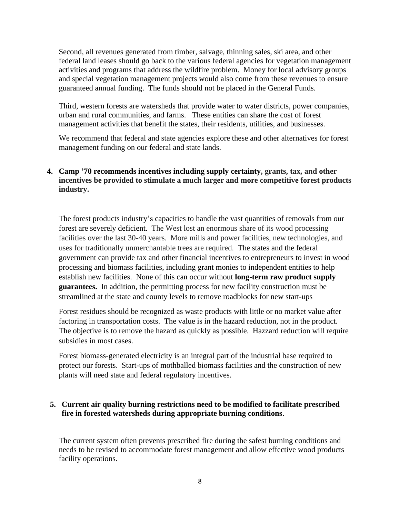Second, all revenues generated from timber, salvage, thinning sales, ski area, and other federal land leases should go back to the various federal agencies for vegetation management activities and programs that address the wildfire problem. Money for local advisory groups and special vegetation management projects would also come from these revenues to ensure guaranteed annual funding. The funds should not be placed in the General Funds.

Third, western forests are watersheds that provide water to water districts, power companies, urban and rural communities, and farms. These entities can share the cost of forest management activities that benefit the states, their residents, utilities, and businesses.

We recommend that federal and state agencies explore these and other alternatives for forest management funding on our federal and state lands.

**4. Camp '70 recommends incentives including supply certainty, grants, tax, and other incentives be provided to stimulate a much larger and more competitive forest products industry.** 

The forest products industry's capacities to handle the vast quantities of removals from our forest are severely deficient. The West lost an enormous share of its wood processing facilities over the last 30-40 years. More mills and power facilities, new technologies, and uses for traditionally unmerchantable trees are required. The states and the federal government can provide tax and other financial incentives to entrepreneurs to invest in wood processing and biomass facilities, including grant monies to independent entities to help establish new facilities. None of this can occur without **long-term raw product supply guarantees.** In addition, the permitting process for new facility construction must be streamlined at the state and county levels to remove roadblocks for new start-ups

Forest residues should be recognized as waste products with little or no market value after factoring in transportation costs. The value is in the hazard reduction, not in the product. The objective is to remove the hazard as quickly as possible. Hazzard reduction will require subsidies in most cases.

Forest biomass-generated electricity is an integral part of the industrial base required to protect our forests. Start-ups of mothballed biomass facilities and the construction of new plants will need state and federal regulatory incentives.

## **5. Current air quality burning restrictions need to be modified to facilitate prescribed fire in forested watersheds during appropriate burning conditions**.

The current system often prevents prescribed fire during the safest burning conditions and needs to be revised to accommodate forest management and allow effective wood products facility operations.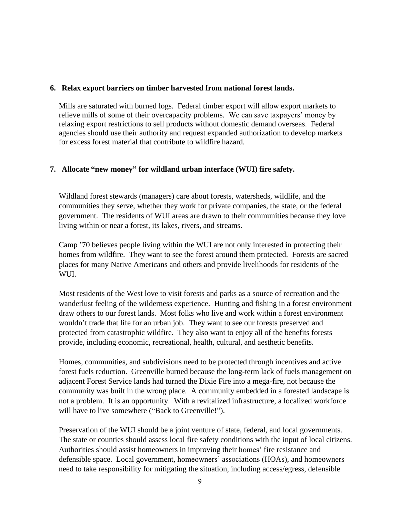#### **6. Relax export barriers on timber harvested from national forest lands.**

 Mills are saturated with burned logs. Federal timber export will allow export markets to relieve mills of some of their overcapacity problems. We can save taxpayers' money by relaxing export restrictions to sell products without domestic demand overseas. Federal agencies should use their authority and request expanded authorization to develop markets for excess forest material that contribute to wildfire hazard.

## **7. Allocate "new money" for wildland urban interface (WUI) fire safety.**

Wildland forest stewards (managers) care about forests, watersheds, wildlife, and the communities they serve, whether they work for private companies, the state, or the federal government. The residents of WUI areas are drawn to their communities because they love living within or near a forest, its lakes, rivers, and streams.

Camp '70 believes people living within the WUI are not only interested in protecting their homes from wildfire. They want to see the forest around them protected. Forests are sacred places for many Native Americans and others and provide livelihoods for residents of the WUI.

Most residents of the West love to visit forests and parks as a source of recreation and the wanderlust feeling of the wilderness experience. Hunting and fishing in a forest environment draw others to our forest lands. Most folks who live and work within a forest environment wouldn't trade that life for an urban job. They want to see our forests preserved and protected from catastrophic wildfire. They also want to enjoy all of the benefits forests provide, including economic, recreational, health, cultural, and aesthetic benefits.

Homes, communities, and subdivisions need to be protected through incentives and active forest fuels reduction. Greenville burned because the long-term lack of fuels management on adjacent Forest Service lands had turned the Dixie Fire into a mega-fire, not because the community was built in the wrong place. A community embedded in a forested landscape is not a problem. It is an opportunity. With a revitalized infrastructure, a localized workforce will have to live somewhere ("Back to Greenville!").

Preservation of the WUI should be a joint venture of state, federal, and local governments. The state or counties should assess local fire safety conditions with the input of local citizens. Authorities should assist homeowners in improving their homes' fire resistance and defensible space. Local government, homeowners' associations (HOAs), and homeowners need to take responsibility for mitigating the situation, including access/egress, defensible